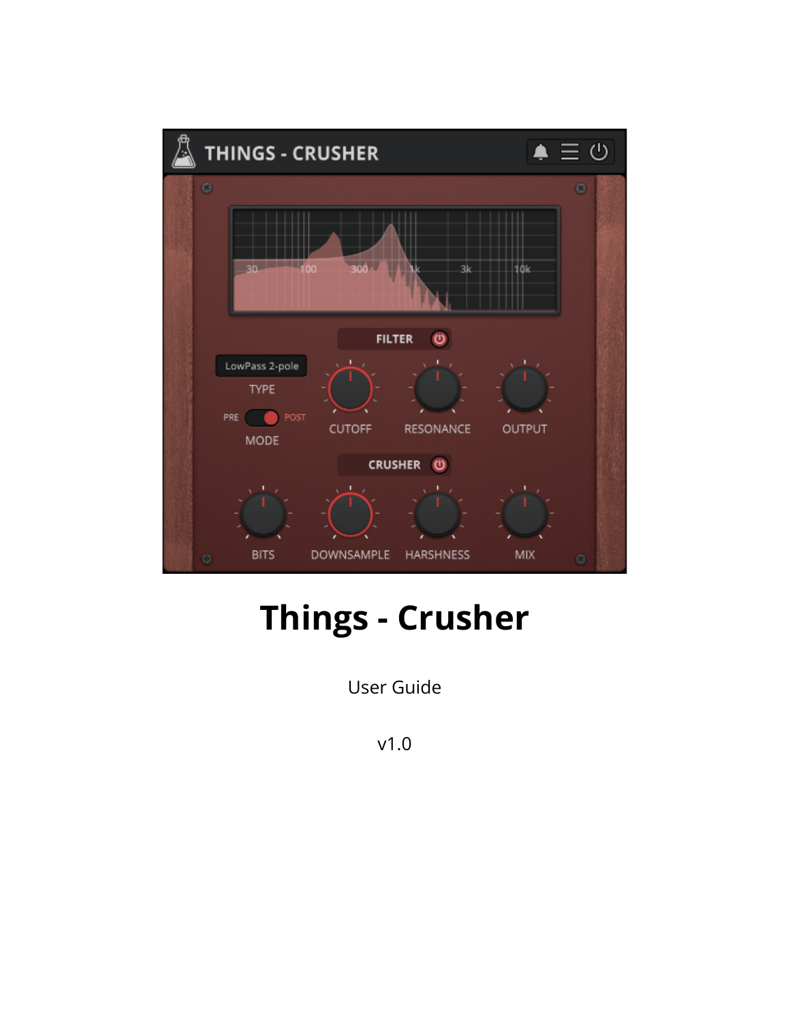

# **Things - Crusher**

User Guide

v1.0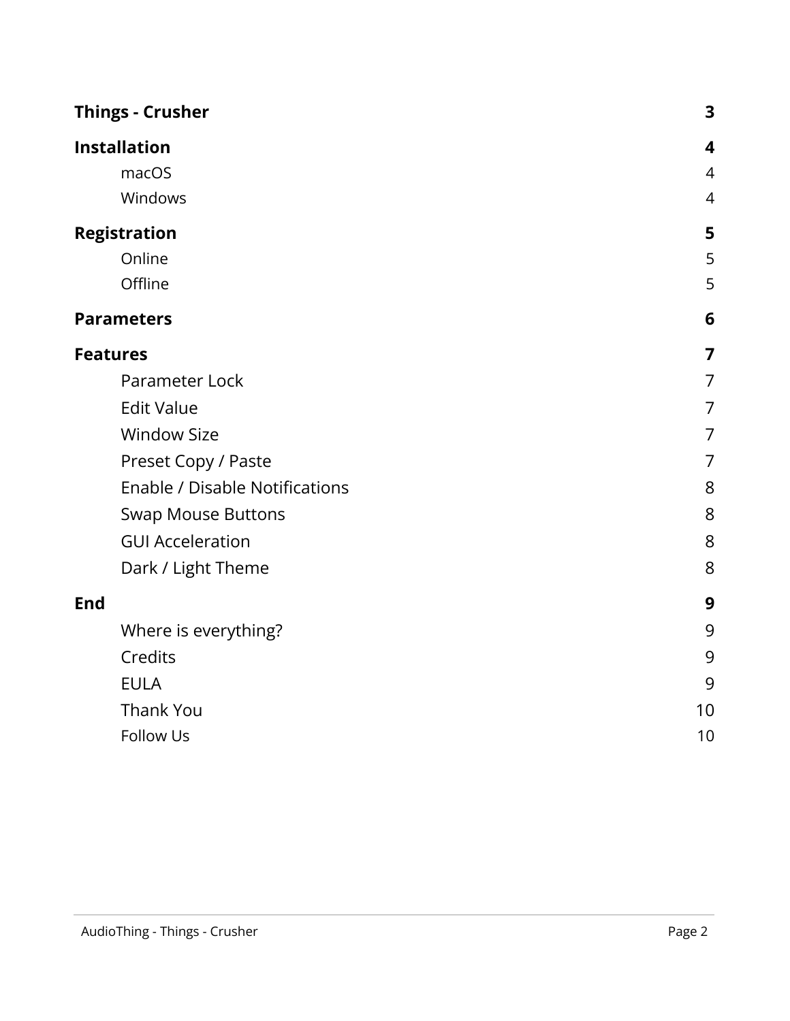| <b>Things - Crusher</b> |                                       | 3              |
|-------------------------|---------------------------------------|----------------|
| <b>Installation</b>     |                                       | 4              |
| macOS                   |                                       | $\overline{4}$ |
| Windows                 |                                       | 4              |
| <b>Registration</b>     |                                       | 5              |
| Online                  |                                       | 5              |
| Offline                 |                                       | 5              |
| <b>Parameters</b>       |                                       | 6              |
| <b>Features</b>         |                                       | 7              |
| Parameter Lock          |                                       | 7              |
| <b>Edit Value</b>       |                                       | 7              |
| <b>Window Size</b>      |                                       | 7              |
|                         | Preset Copy / Paste                   | 7              |
|                         | <b>Enable / Disable Notifications</b> | 8              |
|                         | <b>Swap Mouse Buttons</b>             | 8              |
| <b>GUI Acceleration</b> |                                       | 8              |
|                         | Dark / Light Theme                    | 8              |
| <b>End</b>              |                                       | 9              |
|                         | Where is everything?                  | 9              |
| Credits                 |                                       | 9              |
| <b>EULA</b>             |                                       | 9              |
| <b>Thank You</b>        |                                       | 10             |
| Follow Us               |                                       | 10             |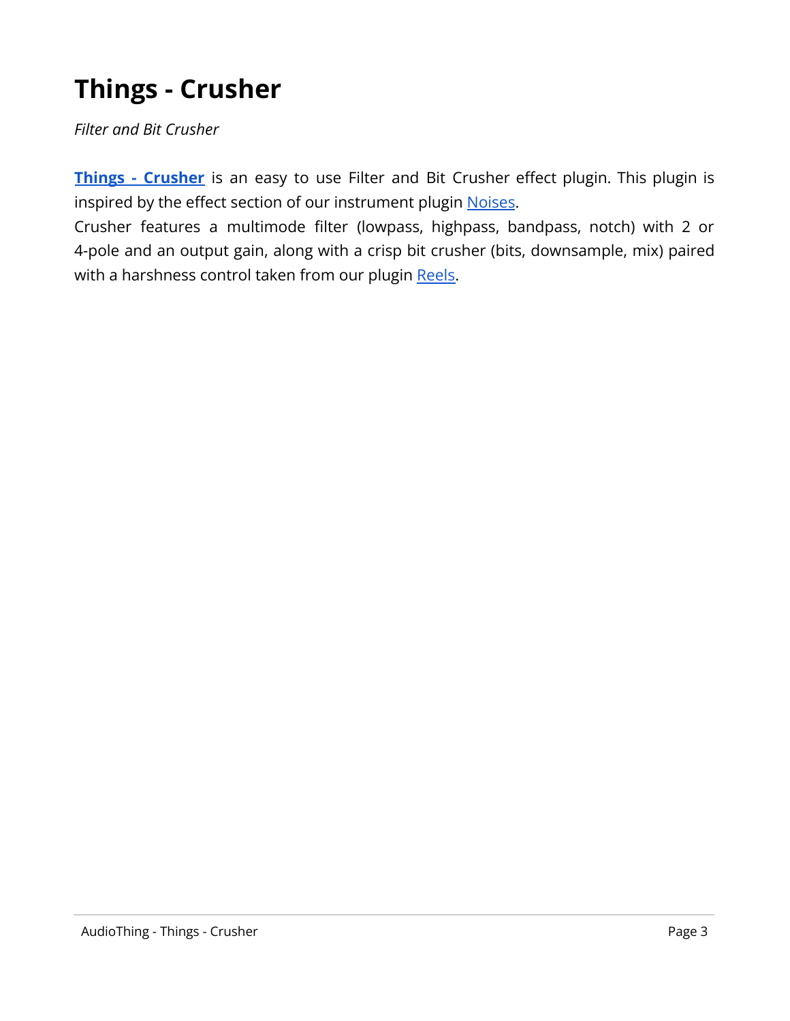# <span id="page-2-0"></span>**Things - Crusher**

*Filter and Bit Crusher*

**Things - [Crusher](https://www.audiothing.net/effects/things-crusher/)** is an easy to use Filter and Bit Crusher effect plugin. This plugin is inspired by the effect section of our instrument plugin [Noises](https://www.audiothing.net/instruments/noises/).

Crusher features a multimode filter (lowpass, highpass, bandpass, notch) with 2 or 4-pole and an output gain, along with a crisp bit crusher (bits, downsample, mix) paired with a harshness control taken from our plugin [Reels.](https://www.audiothing.net/effects/reels/)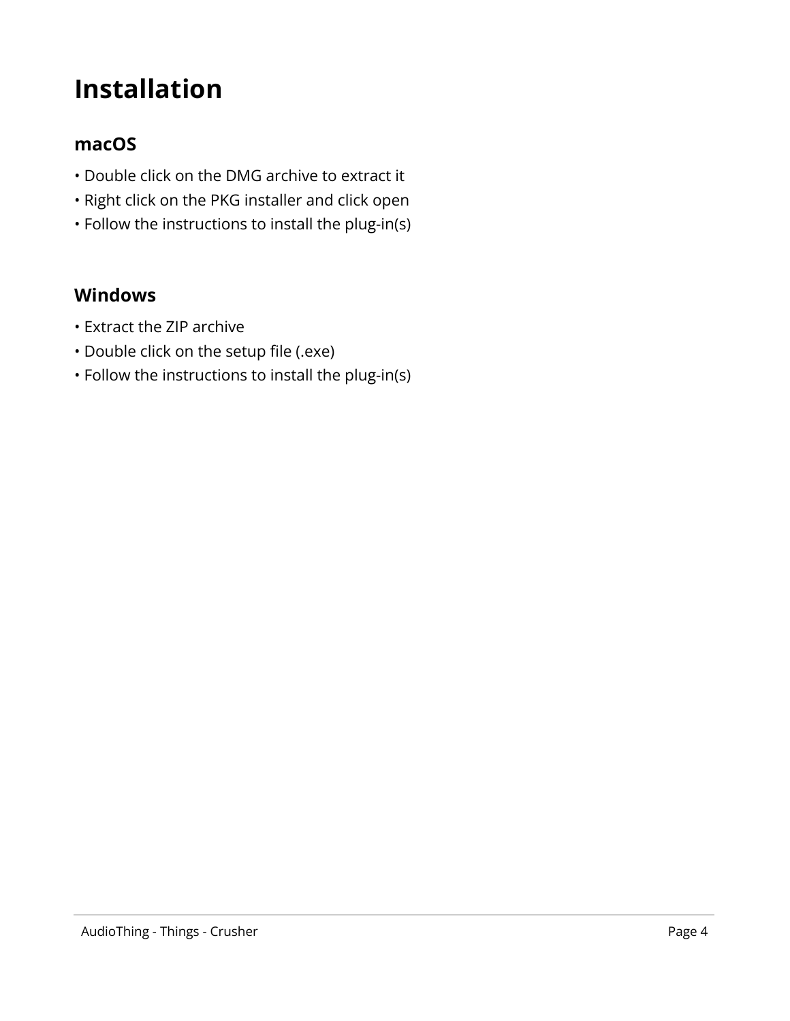## <span id="page-3-0"></span>**Installation**

#### <span id="page-3-1"></span>**macOS**

- Double click on the DMG archive to extract it
- Right click on the PKG installer and click open
- Follow the instructions to install the plug-in(s)

#### <span id="page-3-2"></span>**Windows**

- Extract the ZIP archive
- Double click on the setup file (.exe)
- Follow the instructions to install the plug-in(s)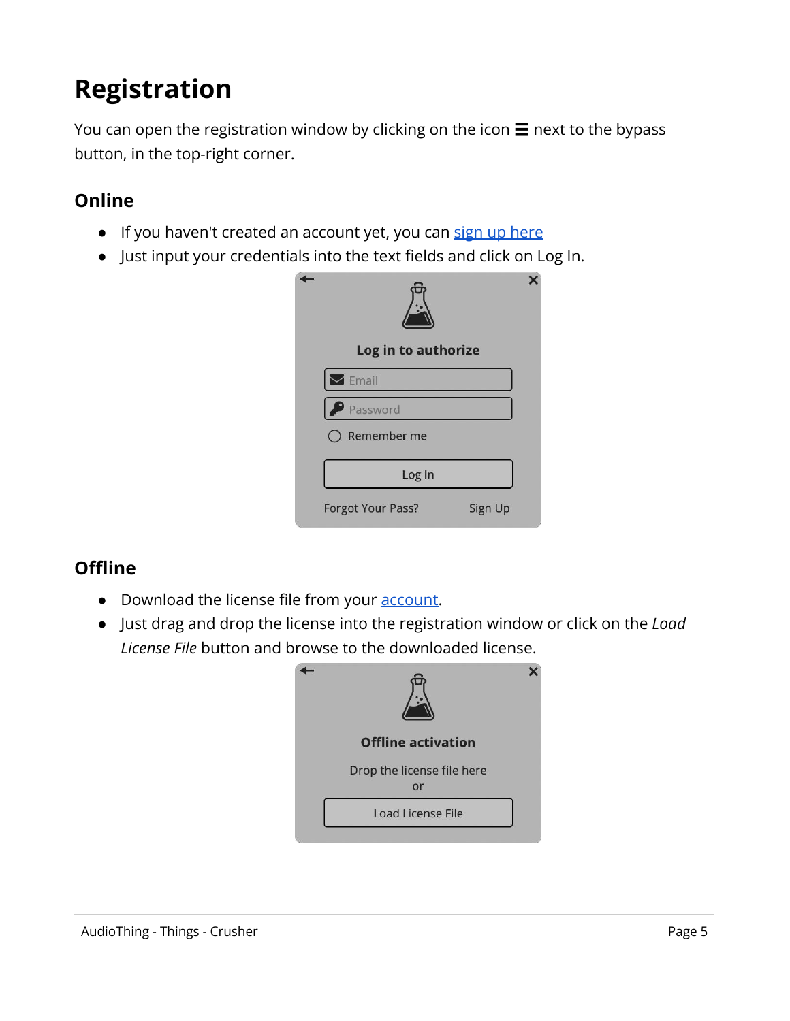# <span id="page-4-0"></span>**Registration**

You can open the registration window by clicking on the icon  $\equiv$  next to the bypass button, in the top-right corner.

#### <span id="page-4-1"></span>**Online**

- If you haven't created an account yet, you can sign [up here](https://www.audiothing.net/account/signup/)
- Just input your credentials into the text fields and click on Log In.

| Log in to authorize    |         |
|------------------------|---------|
| $\triangleright$ Email |         |
| P Password             |         |
| Remember me            |         |
| Log In                 |         |
| Forgot Your Pass?      | Sign Up |

#### <span id="page-4-2"></span>**Offline**

- Download the license file from your **account**.
- Just drag and drop the license into the registration window or click on the *Load License File* button and browse to the downloaded license.

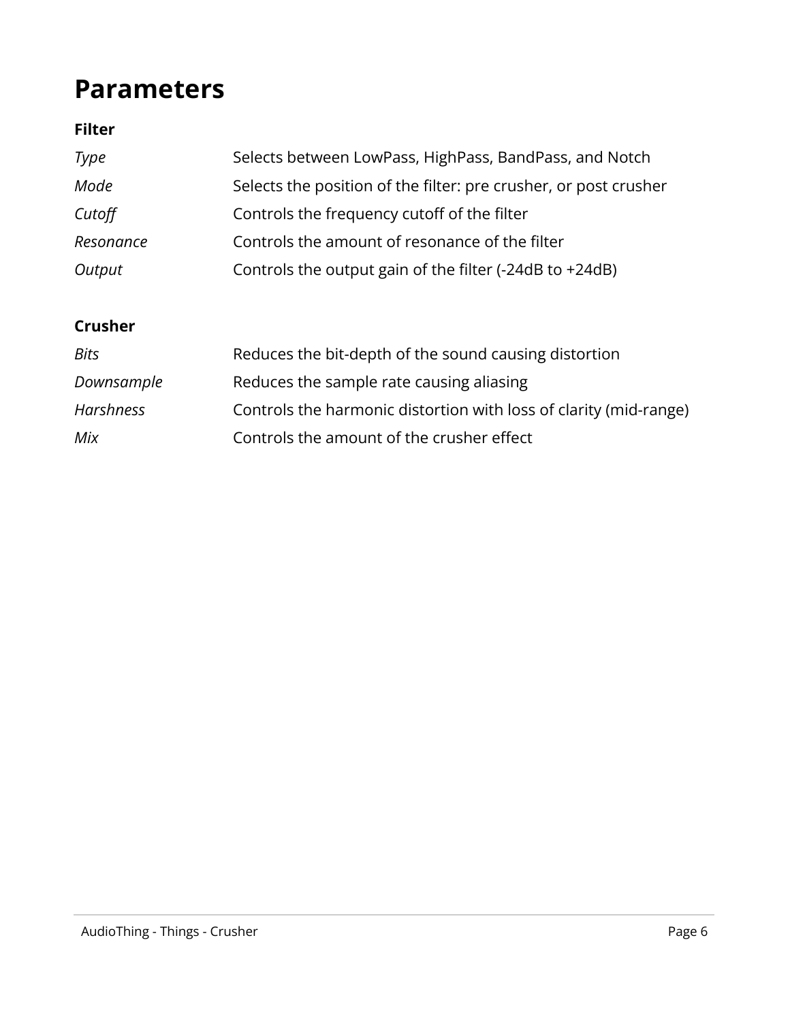## <span id="page-5-0"></span>**Parameters**

#### **Filter**

| Type      | Selects between LowPass, HighPass, BandPass, and Notch           |
|-----------|------------------------------------------------------------------|
| Mode      | Selects the position of the filter: pre crusher, or post crusher |
| Cutoff    | Controls the frequency cutoff of the filter                      |
| Resonance | Controls the amount of resonance of the filter                   |
| Output    | Controls the output gain of the filter (-24dB to +24dB)          |

#### **Crusher**

| <b>Bits</b> | Reduces the bit-depth of the sound causing distortion             |
|-------------|-------------------------------------------------------------------|
| Downsample  | Reduces the sample rate causing aliasing                          |
| Harshness   | Controls the harmonic distortion with loss of clarity (mid-range) |
| Mix         | Controls the amount of the crusher effect                         |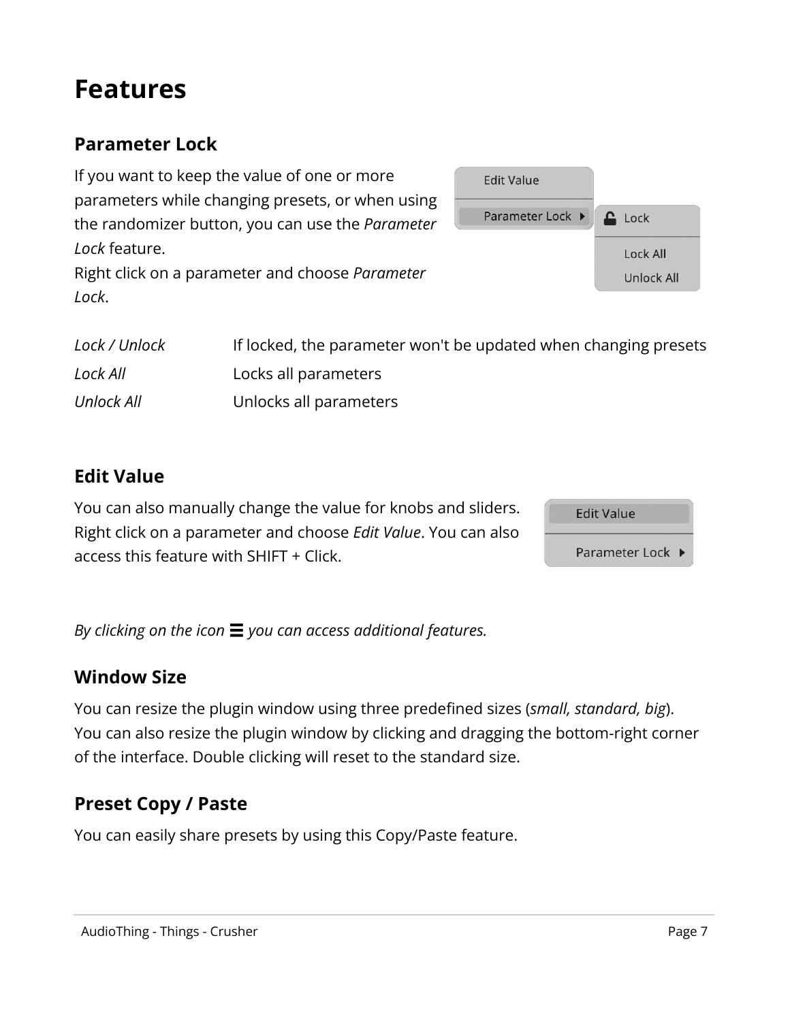### <span id="page-6-0"></span>**Features**

### <span id="page-6-1"></span>**Parameter Lock**

If you want to keep the value of one or more parameters while changing presets, or when using the randomizer button, you can use the *Parameter Lock* feature. Right click on a parameter and choose *Parameter Lock*.



| Lock / Unlock | If locked, the parameter won't be updated when changing presets |
|---------------|-----------------------------------------------------------------|
| Lock All      | Locks all parameters                                            |
| Unlock All    | Unlocks all parameters                                          |

#### <span id="page-6-2"></span>**Edit Value**

You can also manually change the value for knobs and sliders. Right click on a parameter and choose *Edit Value*. You can also access this feature with SHIFT + Click.



<span id="page-6-3"></span>*By clicking on the icon* ☰ *you can access additional features.*

#### **Window Size**

You can resize the plugin window using three predefined sizes (*small, standard, big*). You can also resize the plugin window by clicking and dragging the bottom-right corner of the interface. Double clicking will reset to the standard size.

### <span id="page-6-4"></span>**Preset Copy / Paste**

You can easily share presets by using this Copy/Paste feature.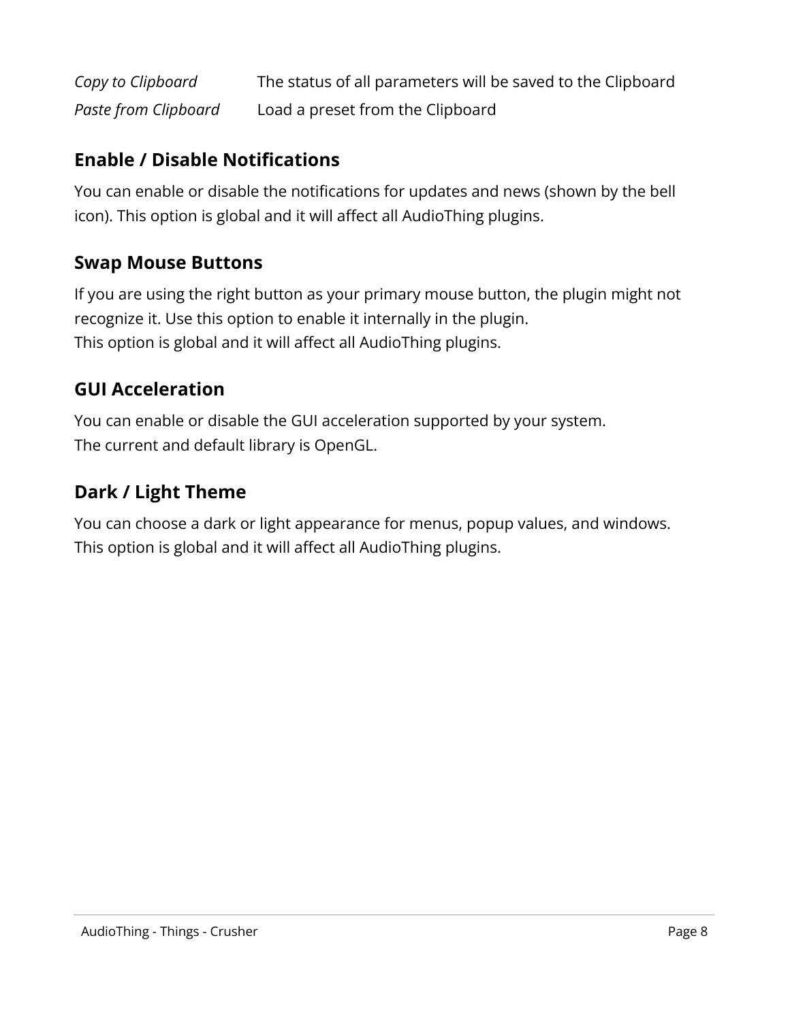| Copy to Clipboard    | The status of all parameters will be saved to the Clipboard |
|----------------------|-------------------------------------------------------------|
| Paste from Clipboard | Load a preset from the Clipboard                            |

#### <span id="page-7-0"></span>**Enable / Disable Notifications**

You can enable or disable the notifications for updates and news (shown by the bell icon). This option is global and it will affect all AudioThing plugins.

#### <span id="page-7-1"></span>**Swap Mouse Buttons**

If you are using the right button as your primary mouse button, the plugin might not recognize it. Use this option to enable it internally in the plugin. This option is global and it will affect all AudioThing plugins.

#### <span id="page-7-2"></span>**GUI Acceleration**

You can enable or disable the GUI acceleration supported by your system. The current and default library is OpenGL.

#### <span id="page-7-3"></span>**Dark / Light Theme**

You can choose a dark or light appearance for menus, popup values, and windows. This option is global and it will affect all AudioThing plugins.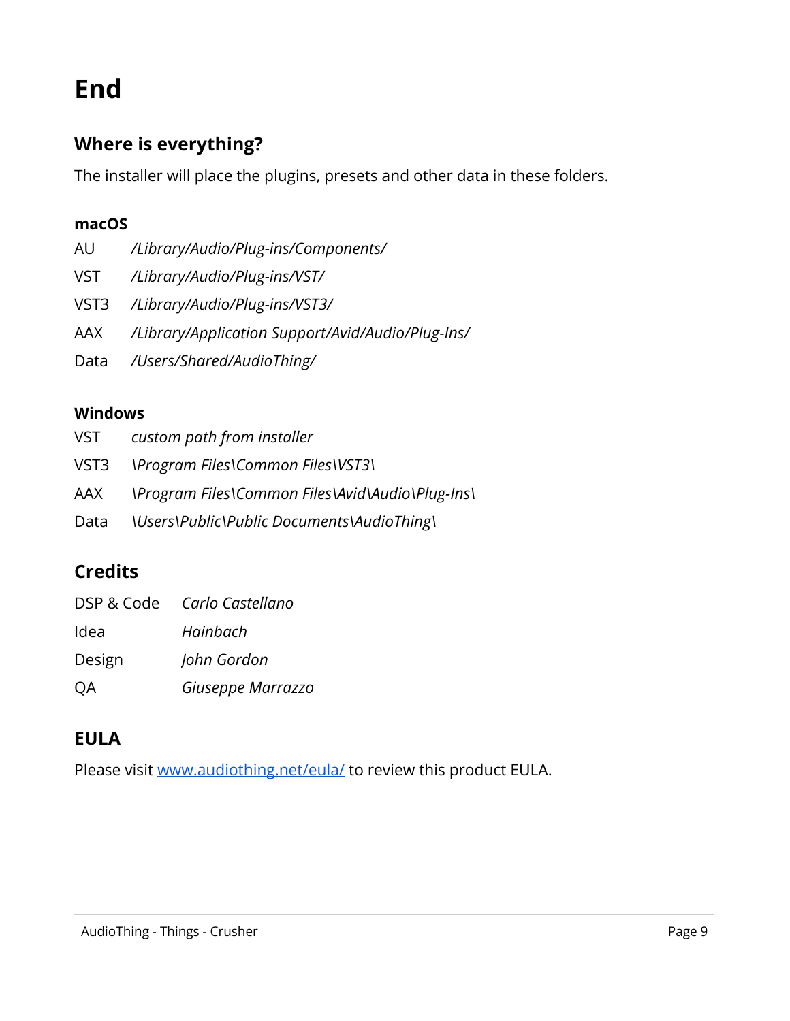## <span id="page-8-0"></span>**End**

#### <span id="page-8-1"></span>**Where is everything?**

The installer will place the plugins, presets and other data in these folders.

#### **macOS**

- AU */Library/Audio/Plug-ins/Components/*
- VST */Library/Audio/Plug-ins/VST/*
- VST3 */Library/Audio/Plug-ins/VST3/*
- AAX */Library/Application Support/Avid/Audio/Plug-Ins/*
- Data */Users/Shared/AudioThing/*

#### **Windows**

| VST  | custom path from installer                               |
|------|----------------------------------------------------------|
|      | VST3 \Program Files\Common Files\VST3\                   |
|      | AAX Program Files\Common Files\Avid\Audio\Plug-Ins\      |
| Data | <i><b>\Users\Public\Public Documents\AudioThing\</b></i> |

#### <span id="page-8-2"></span>**Credits**

|           | DSP & Code Carlo Castellano |
|-----------|-----------------------------|
| Idea      | Hainbach                    |
| Design    | John Gordon                 |
| <b>OA</b> | Giuseppe Marrazzo           |

### <span id="page-8-3"></span>**EULA**

Please visit [www.audiothing.net/eula/](http://www.audiothing.net/eula/) to review this product EULA.